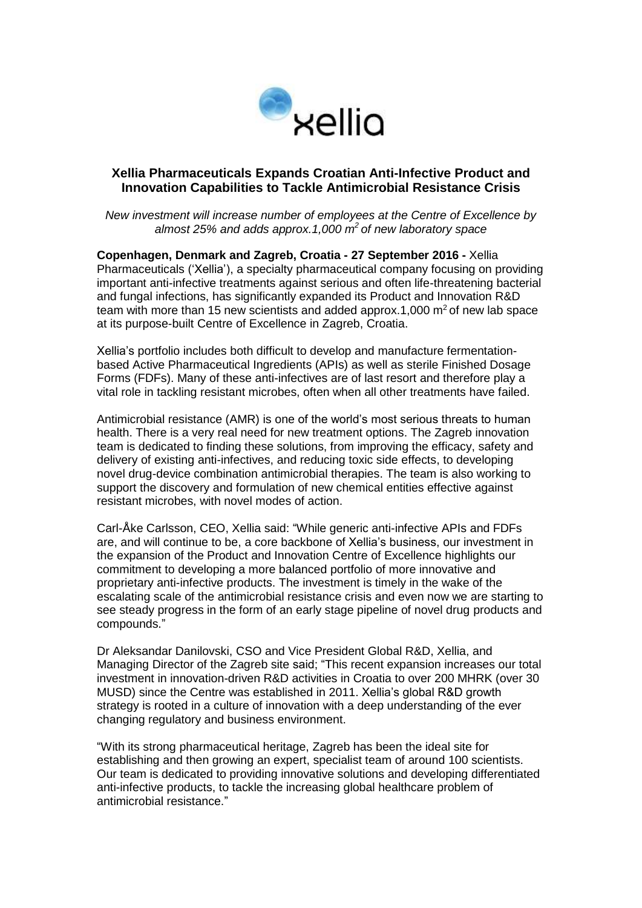

# **Xellia Pharmaceuticals Expands Croatian Anti-Infective Product and Innovation Capabilities to Tackle Antimicrobial Resistance Crisis**

*New investment will increase number of employees at the Centre of Excellence by almost 25% and adds approx.1,000 m<sup>2</sup>of new laboratory space* 

**Copenhagen, Denmark and Zagreb, Croatia - 27 September 2016 -** Xellia Pharmaceuticals ('Xellia'), a specialty pharmaceutical company focusing on providing important anti-infective treatments against serious and often life-threatening bacterial and fungal infections, has significantly expanded its Product and Innovation R&D team with more than 15 new scientists and added approx.1,000  $\text{m}^2$  of new lab space at its purpose-built Centre of Excellence in Zagreb, Croatia.

Xellia's portfolio includes both difficult to develop and manufacture fermentationbased Active Pharmaceutical Ingredients (APIs) as well as sterile Finished Dosage Forms (FDFs). Many of these anti-infectives are of last resort and therefore play a vital role in tackling resistant microbes, often when all other treatments have failed.

Antimicrobial resistance (AMR) is one of the world's most serious threats to human health. There is a very real need for new treatment options. The Zagreb innovation team is dedicated to finding these solutions, from improving the efficacy, safety and delivery of existing anti-infectives, and reducing toxic side effects, to developing novel drug-device combination antimicrobial therapies. The team is also working to support the discovery and formulation of new chemical entities effective against resistant microbes, with novel modes of action.

Carl-Åke Carlsson, CEO, Xellia said: "While generic anti-infective APIs and FDFs are, and will continue to be, a core backbone of Xellia's business, our investment in the expansion of the Product and Innovation Centre of Excellence highlights our commitment to developing a more balanced portfolio of more innovative and proprietary anti-infective products. The investment is timely in the wake of the escalating scale of the antimicrobial resistance crisis and even now we are starting to see steady progress in the form of an early stage pipeline of novel drug products and compounds."

Dr Aleksandar Danilovski, CSO and Vice President Global R&D, Xellia, and Managing Director of the Zagreb site said; "This recent expansion increases our total investment in innovation-driven R&D activities in Croatia to over 200 MHRK (over 30 MUSD) since the Centre was established in 2011. Xellia's global R&D growth strategy is rooted in a culture of innovation with a deep understanding of the ever changing regulatory and business environment.

"With its strong pharmaceutical heritage, Zagreb has been the ideal site for establishing and then growing an expert, specialist team of around 100 scientists. Our team is dedicated to providing innovative solutions and developing differentiated anti-infective products, to tackle the increasing global healthcare problem of antimicrobial resistance."